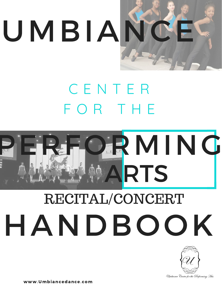

### C E N T E R F O R T H E



# HANDBOOK RECITAL/CONCERT



Umbiance Center for the Performing Arts

www.Umbiancedance.com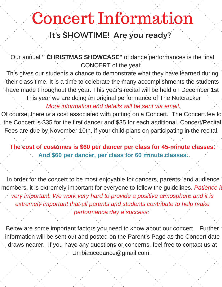### Concert Information

#### It's SHOWTIME! Are you ready?

Our annual **" CHRISTMAS SHOWCASE"** of dance performances is the final CONCERT of the year.

This gives our students a chance to demonstrate what they have learned during their class time. It is a time to celebrate the many accomplishments the students have made throughout the year. This year's recital will be held on December 1st This year we are doing an original performance of The Nutcracker

*More information and details will be sent via email.*

Of course, there is a cost associated with putting on a Concert. The Concert fee fo the Concert is \$35 for the first dancer and \$35 for each additional. Concert/Recital Fees are due by November 10th, if your child plans on participating in the recital.

**The cost of costumes is \$60 per dancer per class for 45-minute classes. And \$60 per dancer, per class for 60 minute classes.**

In order for the concert to be most enjoyable for dancers, parents, and audience members, it is extremely important for everyone to follow the guidelines. *Patience is very important. We work very hard to provide a positive atmosphere and it is extremely important that all parents and students contribute to help make performance day a success.*

Below are some important factors you need to know about our concert. Further information will be sent out and posted on the Parent's Page as the Concert date draws nearer. If you have any questions or concerns, feel free to contact us at Umbiancedance@gmail.com.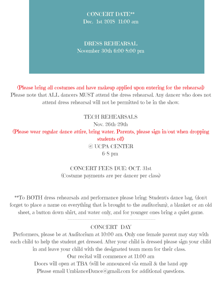CONCERT DATE\*\* Dec. 1st 2018 11:00 am

DRESS REHEARSAL November 30th 6:00-8:00 pm

(Please bring all costumes and have makeup applied upon entering for the rehearsal) Please note that ALL dancers MUST attend the dress rehearsal. Any dancer who does not attend dress rehearsal will not be permitted to be in the show.

TECH REHEARSALS

Nov. 26th-29th

(Please wear regular dance attire, bring water. Parents, please sign in/out when dropping students off)

> @ UCPA CENTER 6-8 pm

CONCERT FEES DUE: OCT. 31st (Costume payments are per dancer per class)

\*\*To BOTH dress rehearsals and performance please bring: Student's dance bag, (don't forget to place a name on everything that is brought to the auditorium), a blanket or an old sheet, a button down shirt, and water only, and for younger ones bring a quiet game.

#### CONCERT DAY

----------------------------------------------------

Performers, please be at Auditorium at 10:00 am. Only one female parent may stay with each child to help the student get dressed. After your child is dressed please sign your child in and leave your child with the designated team mom for their class. Our recital will commence at 11:00 am Doors will open at TBA (will be announced via email & the band app Please email UmbianceDance@gmail.com for additional questions.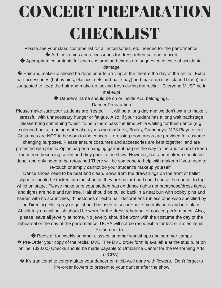## CONCERT PREPARATION **CHECKLIST**

Please see your class costume list for all accessories, etc. needed for the performance! � ALL costumes and accessories for dress rehearsal and concert

� Appropriate color tights for each costume and extras are suggested in case of accidental damage

 $\bullet$  Hair and make-up should be done prior to arriving at the theatre the day of the recital. Extra hair accessories (bobby pins, elastics, nets and hair spay) and make-up (lipstick and blush) are suggested to keep the hair and make-up looking fresh during the recital. Everyone MUST be in makeup!

� Dancer's name should be on or inside ALL belongings.

#### Dancer Preparation

Please make sure your students are "rested". It will be a long day and we don't want to make it stressful with unnecessary hunger or fatigue. Also, if your student has a long wait backstage please bring something "quiet" to help them pass the time while waiting for their dance (e.g. coloring books, reading material crayons (no markers), Books, Gameboys, MP3 Players, etc. Costumes are NOT to be worn to the concert -- dressing room areas are provided for costume changing purposes. Please ensure costumes and accessories are kept together, and are protected with plastic Ziploc bag or a hanging garment bag on the way to the auditorium to keep them from becoming soiled and dirty prior to the show. However, hair and makeup should be done, and only need to be retouched There will be someone to help with makeup if you need to re-touch or simply cannot do your student's makeup yourself.

Dance shoes need to be neat and clean. Bows from the drawstrings on the front of ballet slippers should be tucked into the shoe as they are hazard and could cause the dancer to trip while on stage. Please make sure your student has on dance tights not pantyhose/dress tights, and tights are hole and run free. Hair should be pulled back in a neat bun with bobby pins and hairnet with no scrunchies, rhinestones or extra hair decorations (unless otherwise specified by the Director). Hairspray or gel should be used to secure hair smoothly back and into place. Absolutely no nail polish should be worn for the dress rehearsal or concert performance. Also, please leave all jewelry at home. No jewelry should be worn with the costume the day of the rehearsal or the day of the performance. UCPA will not be responsible for lost or stolen items. Remember to…

� Register for weekly summer classes, summer workshops and summer camps � Pre-Order your copy of the recital DVD. The DVD order form is available at the studio, or on online. (\$20.00) Checks should be made payable to Umbiance Center for the Performing Arts (UCPA).

 $\bullet$  It's traditional to congratulate your dancer on a job well done with flowers. Don't forget to Pre-order flowers to present to your dancer after the show